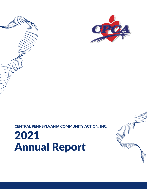# 2021 Annual Report

CENTRAL PENNSYLVANIA COMMUNITY ACTION, INC.



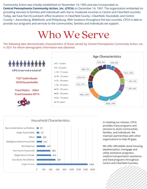Community Action was initially established on November 14, 1965 and was incorporated as **Central Pennsylvania Community Action, Inc. (CPCA)** on December 14, 1967. The organization embarked on providing services to families and individuals with low to moderate incomes in Centre and Clearfield counties. Today, we have five (5) outreach office locations: in Clearfield County—Clearfield, Houtzdale; and Centre County— Aaronsburg, Bellefonte, and Philipsburg. With locations throughout the two counties, CPCA is able to provide our programs and services to the communities, families and individuals we support.

## Who We Serve

The following data demonstrates characteristics of those served by Central Pennsylvania Community Action, Inc. in 2021 for whom demographic information was obtained.





In meeting our mission, CPCA provides many programs and services to assist communities, families, and individuals. We maintain partnerships with other organizations to help fill gaps.

We offer affordable rental housing, weatherization, mortgage and utility assistance programs, medical transportation assistance and food programs throughout Centre and Clearfield Counties.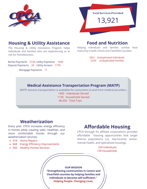



### **Housing & Utility Assistance**

The Housing & Utility Assistance Program helps individuals and families who are experiencing or at risk for homelessness.

Rental Payments 2156 Utility Payments 1649 Deposit Payments 29 Utitity Arrears 1770

Mortgage Payments 11

#### **Food and Nutrition**

Helping individuals and families combat food insecurity in both Centre and Clearfield Counties:

> 5021 Unduplicated Individuals 2370 Unduplicated Families

#### **Medical Assistance Transportation Program (MATP)**

MATP assures transportation is available for consumers to and from medical providers.

1493 Individuals Served 1139 Households Served 46,356 Total Trips

#### **Weatherization**

Every year, CPCA increases energy efficiency in homes while creating safer, healthier, and more comfortable homes through our weatherization services.

- 418 Home Repairs
- 668 Energy Efficiency Improvements
- 560 Healthy Homes Services

#### **Affordable Housing**

CPCA through it's affiliate corporations provides affordable housing opportunities that target diverse populations (i.e. low-income; senior, mental health, and specialized housing).

> 224 Individuals 139 Households

**OUR MISSION**

**"Strengthening communities in Centre and Clearfield counties by helping families and individuals to become self-sufficient." Helping People. Changing Lives.**